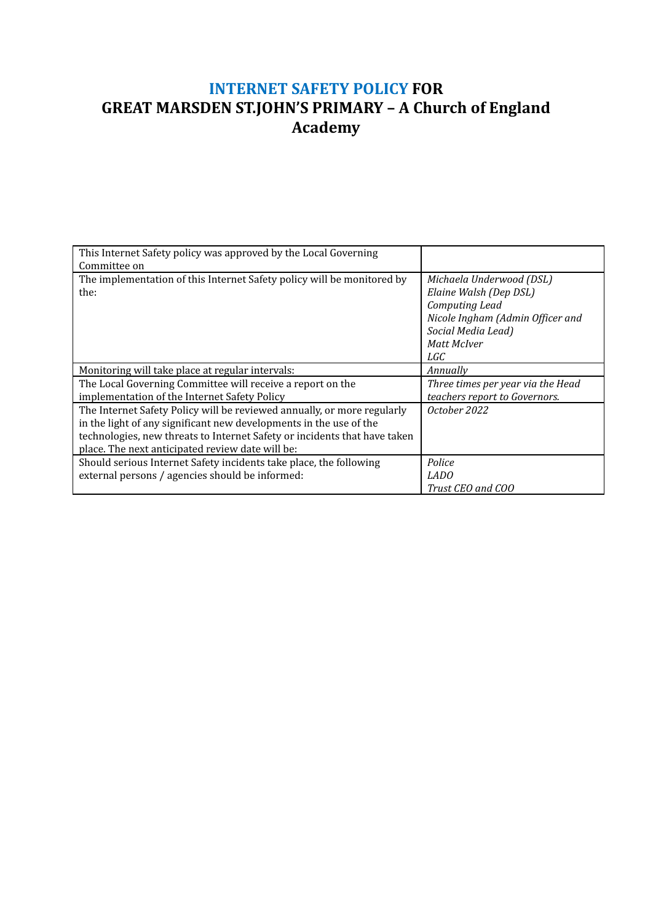### **INTERNET SAFETY POLICY FOR GREAT MARSDEN ST.JOHN'S PRIMARY – A Church of England Academy**

| This Internet Safety policy was approved by the Local Governing           |                                   |
|---------------------------------------------------------------------------|-----------------------------------|
| Committee on                                                              |                                   |
| The implementation of this Internet Safety policy will be monitored by    | Michaela Underwood (DSL)          |
| the:                                                                      | Elaine Walsh (Dep DSL)            |
|                                                                           | Computing Lead                    |
|                                                                           | Nicole Ingham (Admin Officer and  |
|                                                                           | Social Media Lead)                |
|                                                                           | Matt McIver                       |
|                                                                           | LGC                               |
| Monitoring will take place at regular intervals:                          | Annually                          |
| The Local Governing Committee will receive a report on the                | Three times per year via the Head |
| implementation of the Internet Safety Policy                              | teachers report to Governors.     |
| The Internet Safety Policy will be reviewed annually, or more regularly   | October 2022                      |
| in the light of any significant new developments in the use of the        |                                   |
| technologies, new threats to Internet Safety or incidents that have taken |                                   |
| place. The next anticipated review date will be:                          |                                   |
| Should serious Internet Safety incidents take place, the following        | Police                            |
| external persons / agencies should be informed:                           | LADO                              |
|                                                                           | Trust CEO and COO                 |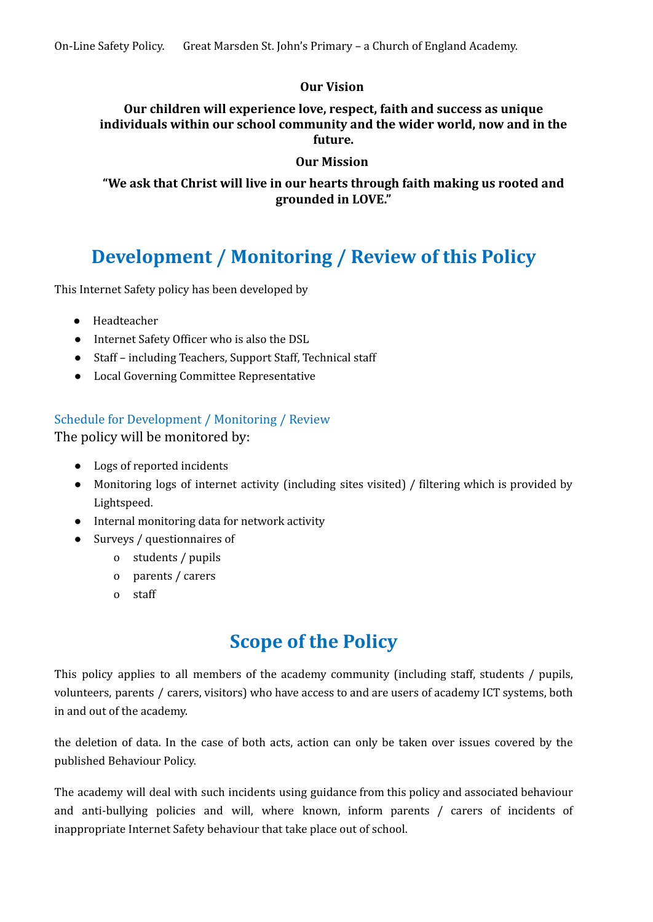### **Our Vision**

**Our children will experience love, respect, faith and success as unique individuals within our school community and the wider world, now and in the future.**

#### **Our Mission**

**"We ask that Christ will live in our hearts through faith making us rooted and grounded in LOVE."**

### **Development / Monitoring / Review of this Policy**

This Internet Safety policy has been developed by

- Headteacher
- Internet Safety Officer who is also the DSL
- Staff including Teachers, Support Staff, Technical staff
- Local Governing Committee Representative

### Schedule for Development / Monitoring / Review

The policy will be monitored by:

- Logs of reported incidents
- Monitoring logs of internet activity (including sites visited) / filtering which is provided by Lightspeed.
- Internal monitoring data for network activity
- Surveys / questionnaires of
	- o students / pupils
	- o parents / carers
	- o staff

### **Scope of the Policy**

This policy applies to all members of the academy community (including staff, students / pupils, volunteers, parents / carers, visitors) who have access to and are users of academy ICT systems, both in and out of the academy.

the deletion of data. In the case of both acts, action can only be taken over issues covered by the published Behaviour Policy.

The academy will deal with such incidents using guidance from this policy and associated behaviour and anti-bullying policies and will, where known, inform parents / carers of incidents of inappropriate Internet Safety behaviour that take place out of school.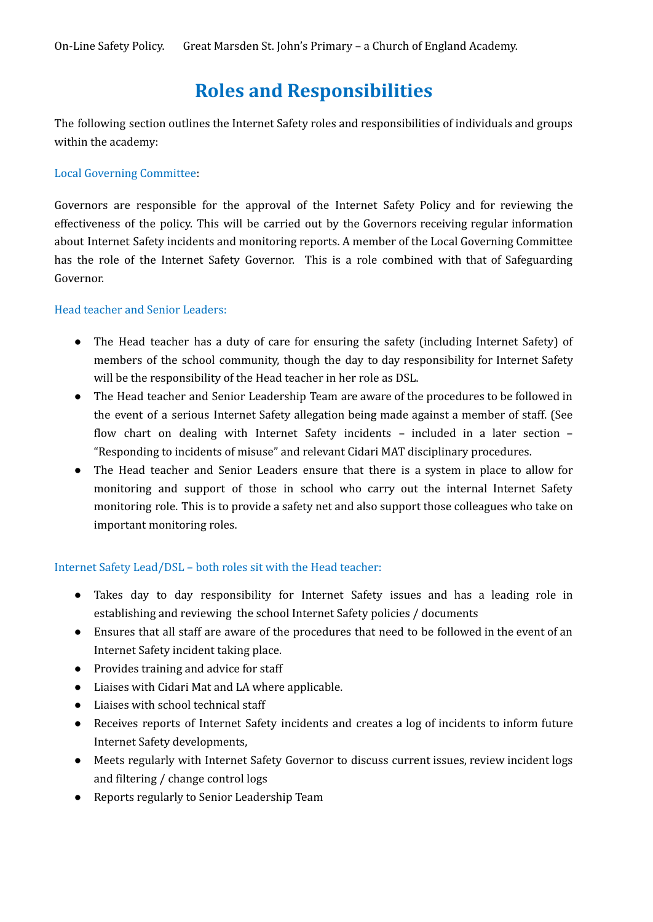### **Roles and Responsibilities**

The following section outlines the Internet Safety roles and responsibilities of individuals and groups within the academy:

#### Local Governing Committee:

Governors are responsible for the approval of the Internet Safety Policy and for reviewing the effectiveness of the policy. This will be carried out by the Governors receiving regular information about Internet Safety incidents and monitoring reports. A member of the Local Governing Committee has the role of the Internet Safety Governor. This is a role combined with that of Safeguarding Governor.

#### Head teacher and Senior Leaders:

- The Head teacher has a duty of care for ensuring the safety (including Internet Safety) of members of the school community, though the day to day responsibility for Internet Safety will be the responsibility of the Head teacher in her role as DSL.
- *●* The Head teacher and Senior Leadership Team are aware of the procedures to be followed in the event of a serious Internet Safety allegation being made against a member of staff. (See flow chart on dealing with Internet Safety incidents – included in a later section – "Responding to incidents of misuse" and relevant Cidari MAT disciplinary procedures.
- The Head teacher and Senior Leaders ensure that there is a system in place to allow for monitoring and support of those in school who carry out the internal Internet Safety monitoring role. This is to provide a safety net and also support those colleagues who take on important monitoring roles.

#### Internet Safety Lead/DSL – both roles sit with the Head teacher:

- Takes day to day responsibility for Internet Safety issues and has a leading role in establishing and reviewing the school Internet Safety policies / documents
- Ensures that all staff are aware of the procedures that need to be followed in the event of an Internet Safety incident taking place.
- Provides training and advice for staff
- Liaises with Cidari Mat and LA where applicable.
- Liaises with school technical staff
- Receives reports of Internet Safety incidents and creates a log of incidents to inform future Internet Safety developments,
- Meets regularly with Internet Safety Governor to discuss current issues, review incident logs and filtering / change control logs
- Reports regularly to Senior Leadership Team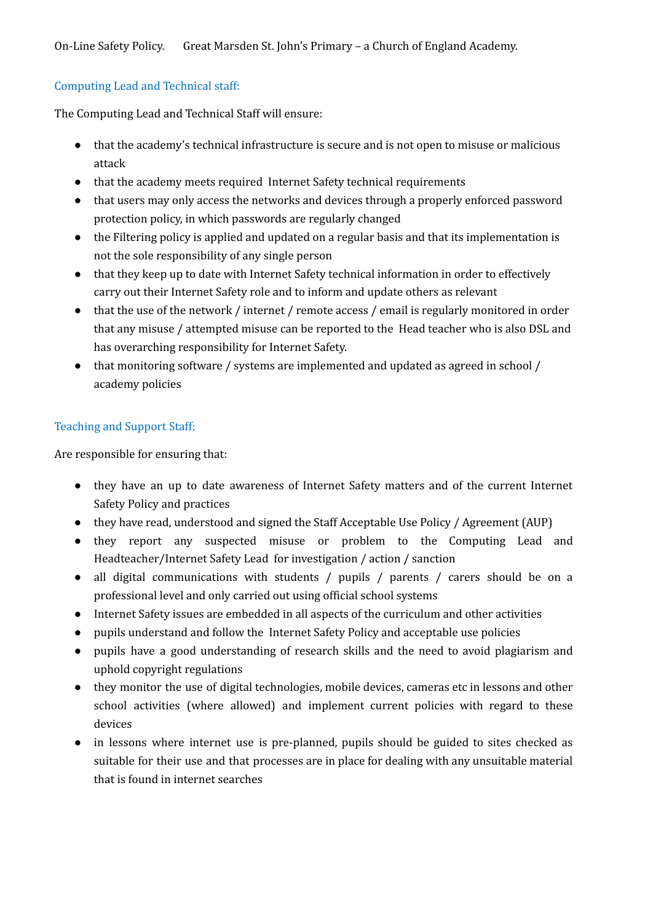#### Computing Lead and Technical staff:

The Computing Lead and Technical Staff will ensure:

- that the academy's technical infrastructure is secure and is not open to misuse or malicious attack
- that the academy meets required Internet Safety technical requirements
- that users may only access the networks and devices through a properly enforced password protection policy, in which passwords are regularly changed
- the Filtering policy is applied and updated on a regular basis and that its implementation is not the sole responsibility of any single person
- that they keep up to date with Internet Safety technical information in order to effectively carry out their Internet Safety role and to inform and update others as relevant
- that the use of the network / internet / remote access / email is regularly monitored in order that any misuse / attempted misuse can be reported to the Head teacher who is also DSL and has overarching responsibility for Internet Safety.
- that monitoring software / systems are implemented and updated as agreed in school / academy policies

### Teaching and Support Staff:

Are responsible for ensuring that:

- they have an up to date awareness of Internet Safety matters and of the current Internet Safety Policy and practices
- they have read, understood and signed the Staff Acceptable Use Policy / Agreement (AUP)
- they report any suspected misuse or problem to the Computing Lead and Headteacher/Internet Safety Lead for investigation / action / sanction
- all digital communications with students / pupils / parents / carers should be on a professional level and only carried out using official school systems
- Internet Safety issues are embedded in all aspects of the curriculum and other activities
- pupils understand and follow the Internet Safety Policy and acceptable use policies
- pupils have a good understanding of research skills and the need to avoid plagiarism and uphold copyright regulations
- they monitor the use of digital technologies, mobile devices, cameras etc in lessons and other school activities (where allowed) and implement current policies with regard to these devices
- in lessons where internet use is pre-planned, pupils should be guided to sites checked as suitable for their use and that processes are in place for dealing with any unsuitable material that is found in internet searches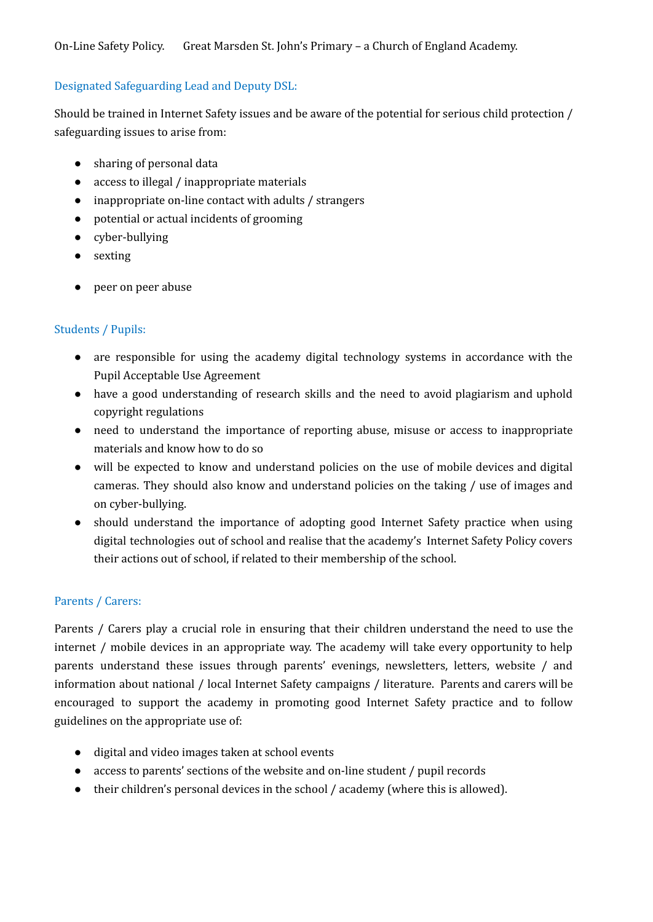#### Designated Safeguarding Lead and Deputy DSL:

Should be trained in Internet Safety issues and be aware of the potential for serious child protection / safeguarding issues to arise from:

- sharing of personal data
- access to illegal / inappropriate materials
- inappropriate on-line contact with adults / strangers
- potential or actual incidents of grooming
- cyber-bullying
- sexting
- peer on peer abuse

#### Students / Pupils:

- are responsible for using the academy digital technology systems in accordance with the Pupil Acceptable Use Agreement
- have a good understanding of research skills and the need to avoid plagiarism and uphold copyright regulations
- need to understand the importance of reporting abuse, misuse or access to inappropriate materials and know how to do so
- will be expected to know and understand policies on the use of mobile devices and digital cameras. They should also know and understand policies on the taking / use of images and on cyber-bullying.
- should understand the importance of adopting good Internet Safety practice when using digital technologies out of school and realise that the academy's Internet Safety Policy covers their actions out of school, if related to their membership of the school.

#### Parents / Carers:

Parents / Carers play a crucial role in ensuring that their children understand the need to use the internet / mobile devices in an appropriate way. The academy will take every opportunity to help parents understand these issues through parents' evenings, newsletters, letters, website / and information about national / local Internet Safety campaigns / literature. Parents and carers will be encouraged to support the academy in promoting good Internet Safety practice and to follow guidelines on the appropriate use of:

- digital and video images taken at school events
- access to parents' sections of the website and on-line student / pupil records
- their children's personal devices in the school / academy (where this is allowed).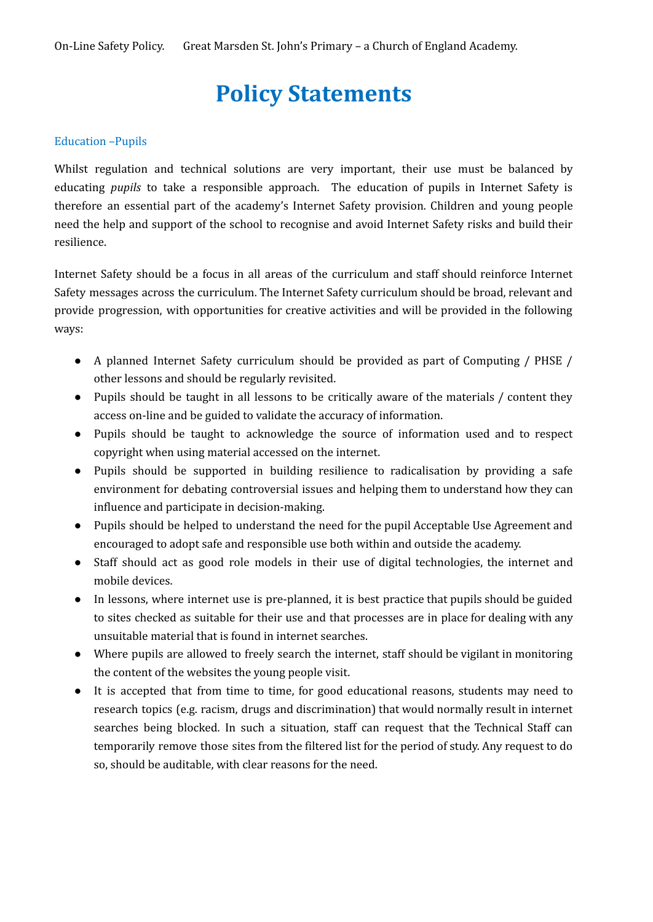## **Policy Statements**

#### Education –Pupils

Whilst regulation and technical solutions are very important, their use must be balanced by educating *pupils* to take a responsible approach. The education of pupils in Internet Safety is therefore an essential part of the academy's Internet Safety provision. Children and young people need the help and support of the school to recognise and avoid Internet Safety risks and build their resilience.

Internet Safety should be a focus in all areas of the curriculum and staff should reinforce Internet Safety messages across the curriculum. The Internet Safety curriculum should be broad, relevant and provide progression, with opportunities for creative activities and will be provided in the following ways:

- A planned Internet Safety curriculum should be provided as part of Computing / PHSE / other lessons and should be regularly revisited.
- Pupils should be taught in all lessons to be critically aware of the materials / content they access on-line and be guided to validate the accuracy of information.
- Pupils should be taught to acknowledge the source of information used and to respect copyright when using material accessed on the internet.
- Pupils should be supported in building resilience to radicalisation by providing a safe environment for debating controversial issues and helping them to understand how they can influence and participate in decision-making.
- Pupils should be helped to understand the need for the pupil Acceptable Use Agreement and encouraged to adopt safe and responsible use both within and outside the academy.
- Staff should act as good role models in their use of digital technologies, the internet and mobile devices.
- In lessons, where internet use is pre-planned, it is best practice that pupils should be guided to sites checked as suitable for their use and that processes are in place for dealing with any unsuitable material that is found in internet searches.
- Where pupils are allowed to freely search the internet, staff should be vigilant in monitoring the content of the websites the young people visit.
- It is accepted that from time to time, for good educational reasons, students may need to research topics (e.g. racism, drugs and discrimination) that would normally result in internet searches being blocked. In such a situation, staff can request that the Technical Staff can temporarily remove those sites from the filtered list for the period of study. Any request to do so, should be auditable, with clear reasons for the need.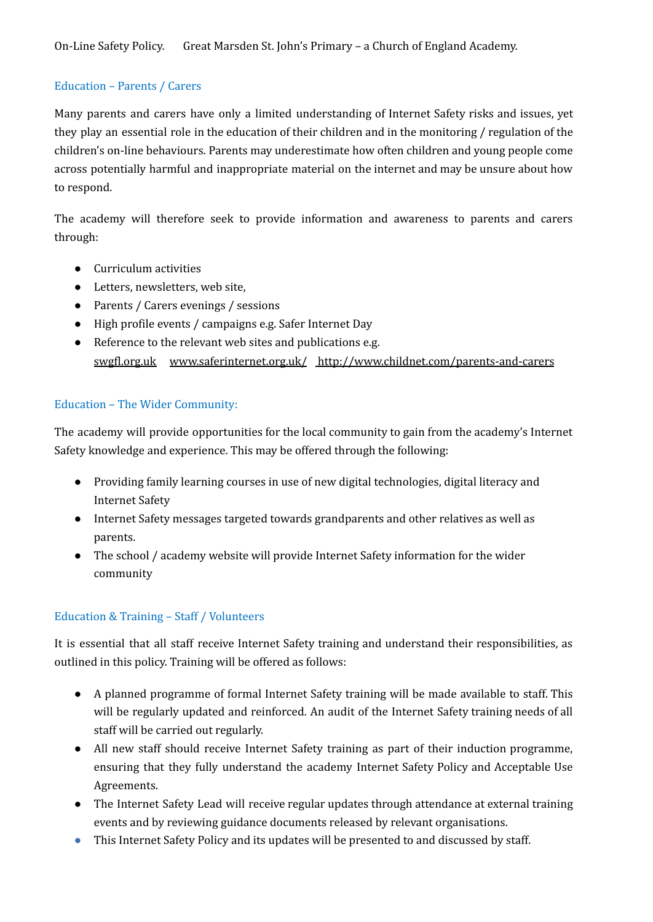#### Education – Parents / Carers

Many parents and carers have only a limited understanding of Internet Safety risks and issues, yet they play an essential role in the education of their children and in the monitoring / regulation of the children's on-line behaviours. Parents may underestimate how often children and young people come across potentially harmful and inappropriate material on the internet and may be unsure about how to respond.

The academy will therefore seek to provide information and awareness to parents and carers through:

- Curriculum activities
- Letters, newsletters, web site,
- Parents / Carers evenings / sessions
- High profile events / campaigns e.g. Safer Internet Day
- Reference to the relevant web sites and publications e.g. [swgfl.org.uk](http://swgfl.org.uk) [www.saferinternet.org.uk/](http://www.saferinternet.org.uk/) <http://www.childnet.com/parents-and-carers>

### Education – The Wider Community:

The academy will provide opportunities for the local community to gain from the academy's Internet Safety knowledge and experience. This may be offered through the following:

- Providing family learning courses in use of new digital technologies, digital literacy and Internet Safety
- Internet Safety messages targeted towards grandparents and other relatives as well as parents.
- The school / academy website will provide Internet Safety information for the wider community

### Education & Training – Staff / Volunteers

It is essential that all staff receive Internet Safety training and understand their responsibilities, as outlined in this policy. Training will be offered as follows:

- A planned programme of formal Internet Safety training will be made available to staff. This will be regularly updated and reinforced. An audit of the Internet Safety training needs of all staff will be carried out regularly.
- All new staff should receive Internet Safety training as part of their induction programme, ensuring that they fully understand the academy Internet Safety Policy and Acceptable Use Agreements.
- The Internet Safety Lead will receive regular updates through attendance at external training events and by reviewing guidance documents released by relevant organisations.
- This Internet Safety Policy and its updates will be presented to and discussed by staff.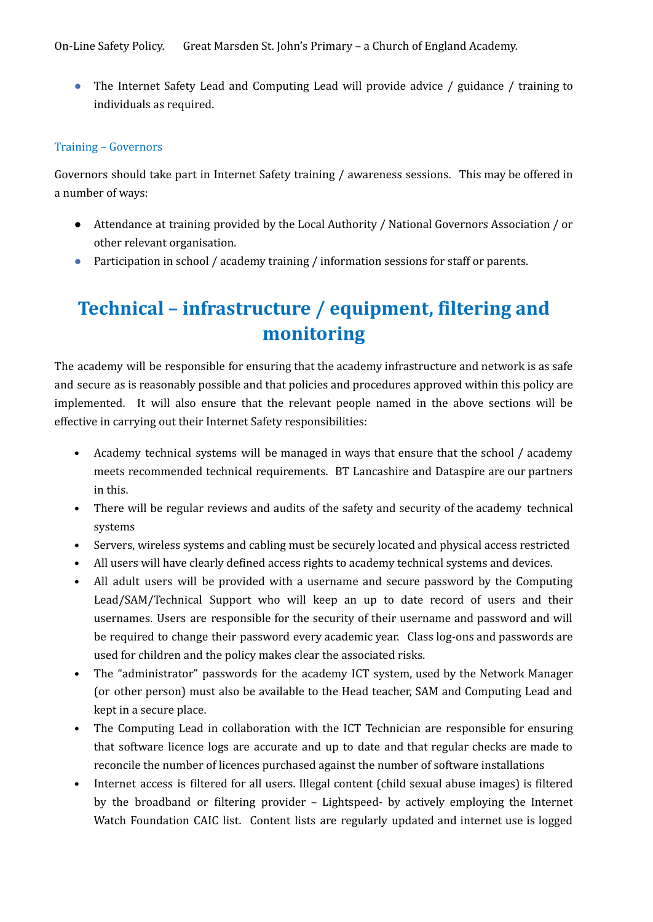On-Line Safety Policy. Great Marsden St. John's Primary – a Church of England Academy.

● The Internet Safety Lead and Computing Lead will provide advice / guidance / training to individuals as required.

#### Training – Governors

Governors should take part in Internet Safety training / awareness sessions. This may be offered in a number of ways:

- Attendance at training provided by the Local Authority / National Governors Association / or other relevant organisation.
- Participation in school / academy training / information sessions for staff or parents.

### **Technical – infrastructure / equipment, filtering and monitoring**

The academy will be responsible for ensuring that the academy infrastructure and network is as safe and secure as is reasonably possible and that policies and procedures approved within this policy are implemented. It will also ensure that the relevant people named in the above sections will be effective in carrying out their Internet Safety responsibilities:

- Academy technical systems will be managed in ways that ensure that the school / academy meets recommended technical requirements. BT Lancashire and Dataspire are our partners in this.
- There will be regular reviews and audits of the safety and security of the academy technical systems
- Servers, wireless systems and cabling must be securely located and physical access restricted
- All users will have clearly defined access rights to academy technical systems and devices.
- All adult users will be provided with a username and secure password by the Computing Lead/SAM/Technical Support who will keep an up to date record of users and their usernames. Users are responsible for the security of their username and password and will be required to change their password every academic year. Class log-ons and passwords are used for children and the policy makes clear the associated risks.
- The "administrator" passwords for the academy ICT system, used by the Network Manager (or other person) must also be available to the Head teacher, SAM and Computing Lead and kept in a secure place.
- The Computing Lead in collaboration with the ICT Technician are responsible for ensuring that software licence logs are accurate and up to date and that regular checks are made to reconcile the number of licences purchased against the number of software installations
- Internet access is filtered for all users. Illegal content (child sexual abuse images) is filtered by the broadband or filtering provider – Lightspeed- by actively employing the Internet Watch Foundation CAIC list. Content lists are regularly updated and internet use is logged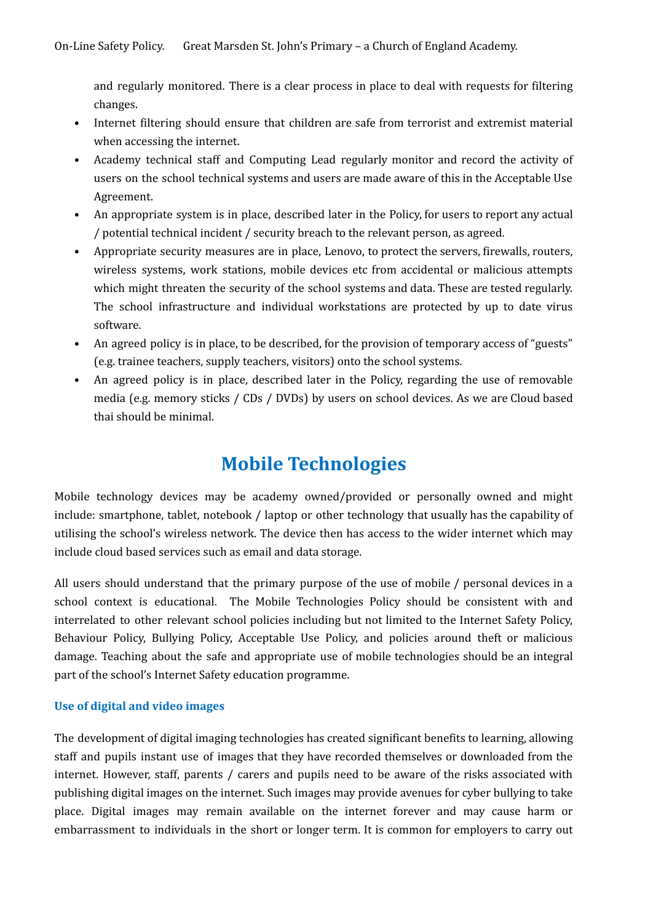and regularly monitored. There is a clear process in place to deal with requests for filtering changes.

- Internet filtering should ensure that children are safe from terrorist and extremist material when accessing the internet.
- Academy technical staff and Computing Lead regularly monitor and record the activity of users on the school technical systems and users are made aware of this in the Acceptable Use Agreement.
- An appropriate system is in place, described later in the Policy, for users to report any actual / potential technical incident / security breach to the relevant person, as agreed.
- Appropriate security measures are in place, Lenovo, to protect the servers, firewalls, routers, wireless systems, work stations, mobile devices etc from accidental or malicious attempts which might threaten the security of the school systems and data. These are tested regularly. The school infrastructure and individual workstations are protected by up to date virus software.
- An agreed policy is in place, to be described, for the provision of temporary access of "guests" (e.g. trainee teachers, supply teachers, visitors) onto the school systems.
- An agreed policy is in place, described later in the Policy, regarding the use of removable media (e.g. memory sticks / CDs / DVDs) by users on school devices. As we are Cloud based thai should be minimal.

### **Mobile Technologies**

Mobile technology devices may be academy owned/provided or personally owned and might include: smartphone, tablet, notebook / laptop or other technology that usually has the capability of utilising the school's wireless network. The device then has access to the wider internet which may include cloud based services such as email and data storage.

All users should understand that the primary purpose of the use of mobile / personal devices in a school context is educational. The Mobile Technologies Policy should be consistent with and interrelated to other relevant school policies including but not limited to the Internet Safety Policy, Behaviour Policy, Bullying Policy, Acceptable Use Policy, and policies around theft or malicious damage. Teaching about the safe and appropriate use of mobile technologies should be an integral part of the school's Internet Safety education programme.

#### **Use of digital and video images**

The development of digital imaging technologies has created significant benefits to learning, allowing staff and pupils instant use of images that they have recorded themselves or downloaded from the internet. However, staff, parents / carers and pupils need to be aware of the risks associated with publishing digital images on the internet. Such images may provide avenues for cyber bullying to take place. Digital images may remain available on the internet forever and may cause harm or embarrassment to individuals in the short or longer term. It is common for employers to carry out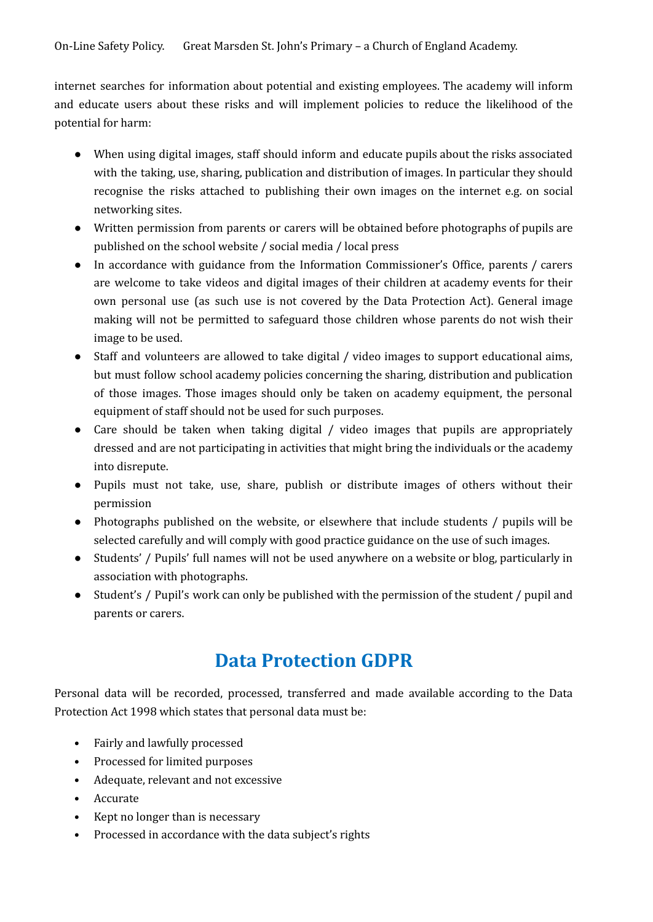internet searches for information about potential and existing employees. The academy will inform and educate users about these risks and will implement policies to reduce the likelihood of the potential for harm:

- When using digital images, staff should inform and educate pupils about the risks associated with the taking, use, sharing, publication and distribution of images. In particular they should recognise the risks attached to publishing their own images on the internet e.g. on social networking sites.
- Written permission from parents or carers will be obtained before photographs of pupils are published on the school website / social media / local press
- In accordance with guidance from the Information Commissioner's Office, parents / carers are welcome to take videos and digital images of their children at academy events for their own personal use (as such use is not covered by the Data Protection Act). General image making will not be permitted to safeguard those children whose parents do not wish their image to be used.
- Staff and volunteers are allowed to take digital / video images to support educational aims, but must follow school academy policies concerning the sharing, distribution and publication of those images. Those images should only be taken on academy equipment, the personal equipment of staff should not be used for such purposes.
- Care should be taken when taking digital / video images that pupils are appropriately dressed and are not participating in activities that might bring the individuals or the academy into disrepute.
- Pupils must not take, use, share, publish or distribute images of others without their permission
- Photographs published on the website, or elsewhere that include students / pupils will be selected carefully and will comply with good practice guidance on the use of such images.
- Students' / Pupils' full names will not be used anywhere on a website or blog, particularly in association with photographs.
- Student's / Pupil's work can only be published with the permission of the student / pupil and parents or carers.

### **Data Protection GDPR**

Personal data will be recorded, processed, transferred and made available according to the Data Protection Act 1998 which states that personal data must be:

- Fairly and lawfully processed
- Processed for limited purposes
- Adequate, relevant and not excessive
- Accurate
- Kept no longer than is necessary
- Processed in accordance with the data subject's rights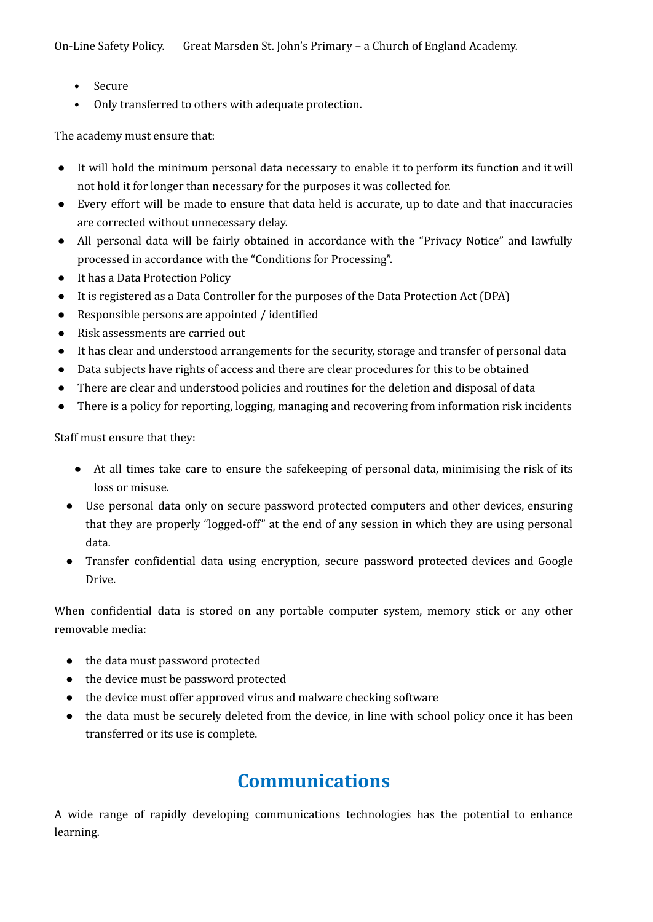- Secure
- Only transferred to others with adequate protection.

The academy must ensure that:

- It will hold the minimum personal data necessary to enable it to perform its function and it will not hold it for longer than necessary for the purposes it was collected for.
- Every effort will be made to ensure that data held is accurate, up to date and that inaccuracies are corrected without unnecessary delay.
- All personal data will be fairly obtained in accordance with the "Privacy Notice" and lawfully processed in accordance with the "Conditions for Processing".
- It has a Data Protection Policy
- It is registered as a Data Controller for the purposes of the Data Protection Act (DPA)
- Responsible persons are appointed / identified
- Risk assessments are carried out
- It has clear and understood arrangements for the security, storage and transfer of personal data
- Data subjects have rights of access and there are clear procedures for this to be obtained
- There are clear and understood policies and routines for the deletion and disposal of data
- There is a policy for reporting, logging, managing and recovering from information risk incidents

Staff must ensure that they:

- At all times take care to ensure the safekeeping of personal data, minimising the risk of its loss or misuse.
- Use personal data only on secure password protected computers and other devices, ensuring that they are properly "logged-off" at the end of any session in which they are using personal data.
- Transfer confidential data using encryption, secure password protected devices and Google Drive.

When confidential data is stored on any portable computer system, memory stick or any other removable media:

- the data must password protected
- the device must be password protected
- the device must offer approved virus and malware checking software
- the data must be securely deleted from the device, in line with school policy once it has been transferred or its use is complete.

### **Communications**

A wide range of rapidly developing communications technologies has the potential to enhance learning.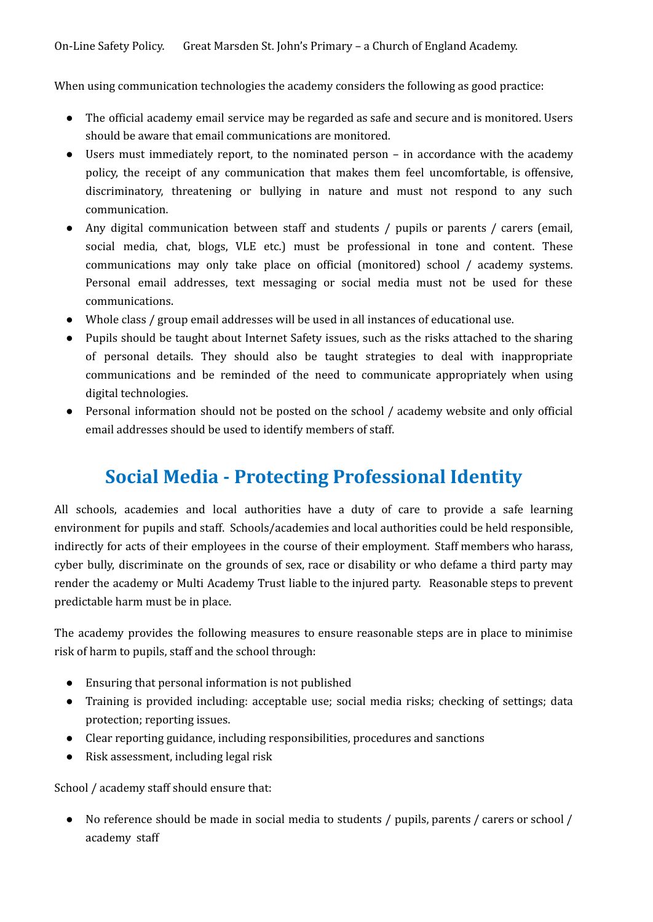On-Line Safety Policy. Great Marsden St. John's Primary – a Church of England Academy.

When using communication technologies the academy considers the following as good practice:

- The official academy email service may be regarded as safe and secure and is monitored. Users should be aware that email communications are monitored.
- Users must immediately report, to the nominated person in accordance with the academy policy, the receipt of any communication that makes them feel uncomfortable, is offensive, discriminatory, threatening or bullying in nature and must not respond to any such communication.
- Any digital communication between staff and students / pupils or parents / carers (email, social media, chat, blogs, VLE etc.) must be professional in tone and content. These communications may only take place on official (monitored) school / academy systems. Personal email addresses, text messaging or social media must not be used for these communications.
- Whole class / group email addresses will be used in all instances of educational use.
- Pupils should be taught about Internet Safety issues, such as the risks attached to the sharing of personal details. They should also be taught strategies to deal with inappropriate communications and be reminded of the need to communicate appropriately when using digital technologies.
- Personal information should not be posted on the school / academy website and only official email addresses should be used to identify members of staff.

### **Social Media - Protecting Professional Identity**

All schools, academies and local authorities have a duty of care to provide a safe learning environment for pupils and staff. Schools/academies and local authorities could be held responsible, indirectly for acts of their employees in the course of their employment. Staff members who harass, cyber bully, discriminate on the grounds of sex, race or disability or who defame a third party may render the academy or Multi Academy Trust liable to the injured party. Reasonable steps to prevent predictable harm must be in place.

The academy provides the following measures to ensure reasonable steps are in place to minimise risk of harm to pupils, staff and the school through:

- Ensuring that personal information is not published
- Training is provided including: acceptable use; social media risks; checking of settings; data protection; reporting issues.
- Clear reporting guidance, including responsibilities, procedures and sanctions
- Risk assessment, including legal risk

School / academy staff should ensure that:

● No reference should be made in social media to students / pupils, parents / carers or school / academy staff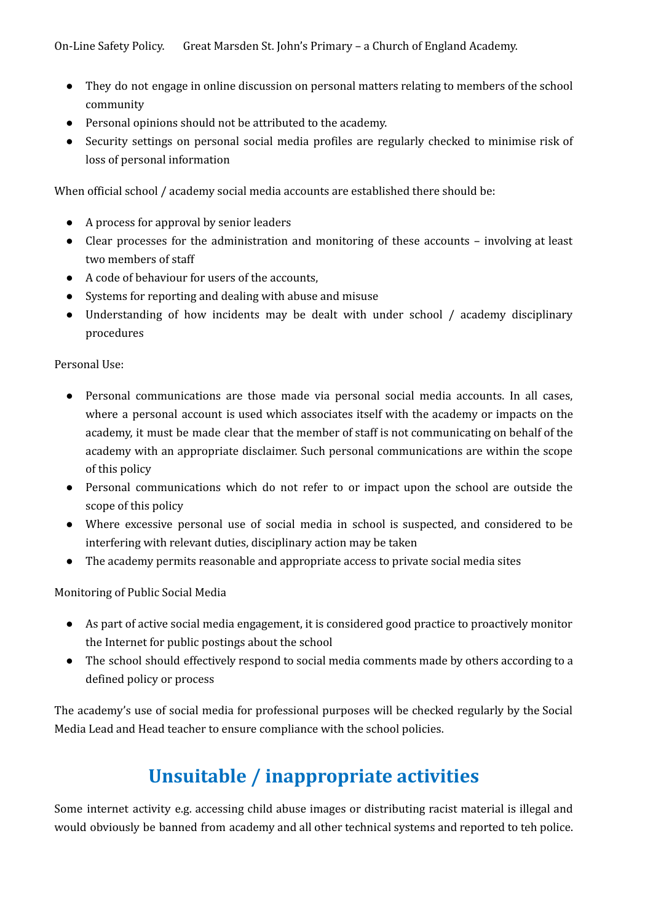- They do not engage in online discussion on personal matters relating to members of the school community
- Personal opinions should not be attributed to the academy.
- Security settings on personal social media profiles are regularly checked to minimise risk of loss of personal information

When official school / academy social media accounts are established there should be:

- A process for approval by senior leaders
- Clear processes for the administration and monitoring of these accounts involving at least two members of staff
- A code of behaviour for users of the accounts,
- Systems for reporting and dealing with abuse and misuse
- Understanding of how incidents may be dealt with under school / academy disciplinary procedures

Personal Use:

- Personal communications are those made via personal social media accounts. In all cases, where a personal account is used which associates itself with the academy or impacts on the academy, it must be made clear that the member of staff is not communicating on behalf of the academy with an appropriate disclaimer. Such personal communications are within the scope of this policy
- Personal communications which do not refer to or impact upon the school are outside the scope of this policy
- Where excessive personal use of social media in school is suspected, and considered to be interfering with relevant duties, disciplinary action may be taken
- The academy permits reasonable and appropriate access to private social media sites

Monitoring of Public Social Media

- As part of active social media engagement, it is considered good practice to proactively monitor the Internet for public postings about the school
- The school should effectively respond to social media comments made by others according to a defined policy or process

The academy's use of social media for professional purposes will be checked regularly by the Social Media Lead and Head teacher to ensure compliance with the school policies.

### **Unsuitable / inappropriate activities**

Some internet activity e.g. accessing child abuse images or distributing racist material is illegal and would obviously be banned from academy and all other technical systems and reported to teh police.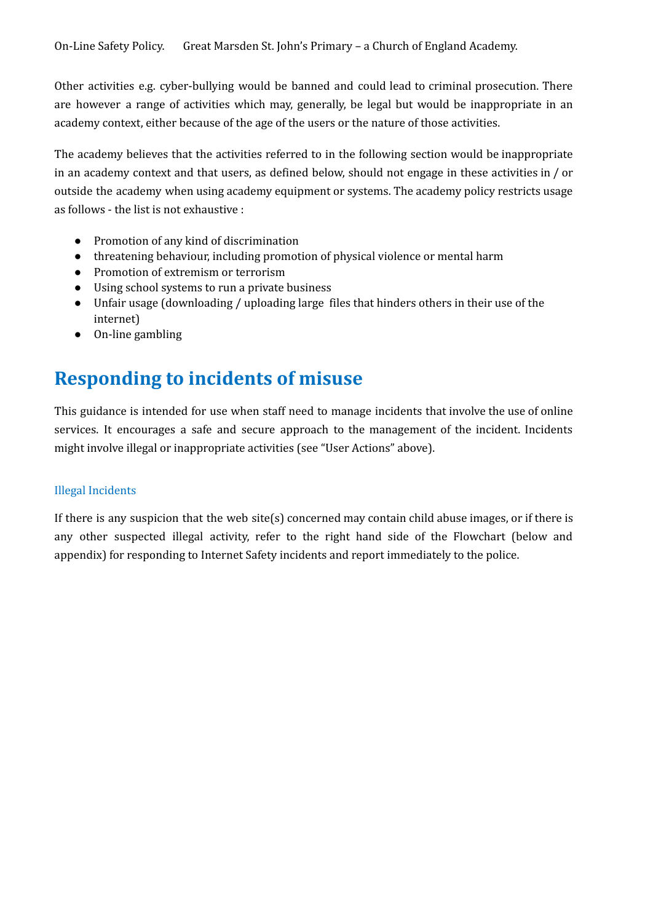Other activities e.g. cyber-bullying would be banned and could lead to criminal prosecution. There are however a range of activities which may, generally, be legal but would be inappropriate in an academy context, either because of the age of the users or the nature of those activities.

The academy believes that the activities referred to in the following section would be inappropriate in an academy context and that users, as defined below, should not engage in these activities in / or outside the academy when using academy equipment or systems. The academy policy restricts usage as follows - the list is not exhaustive :

- Promotion of any kind of discrimination
- threatening behaviour, including promotion of physical violence or mental harm
- Promotion of extremism or terrorism
- Using school systems to run a private business
- Unfair usage (downloading / uploading large files that hinders others in their use of the internet)
- On-line gambling

### **Responding to incidents of misuse**

This guidance is intended for use when staff need to manage incidents that involve the use of online services. It encourages a safe and secure approach to the management of the incident. Incidents might involve illegal or inappropriate activities (see "User Actions" above).

#### Illegal Incidents

If there is any suspicion that the web site(s) concerned may contain child abuse images, or if there is any other suspected illegal activity, refer to the right hand side of the Flowchart (below and appendix) for responding to Internet Safety incidents and report immediately to the police.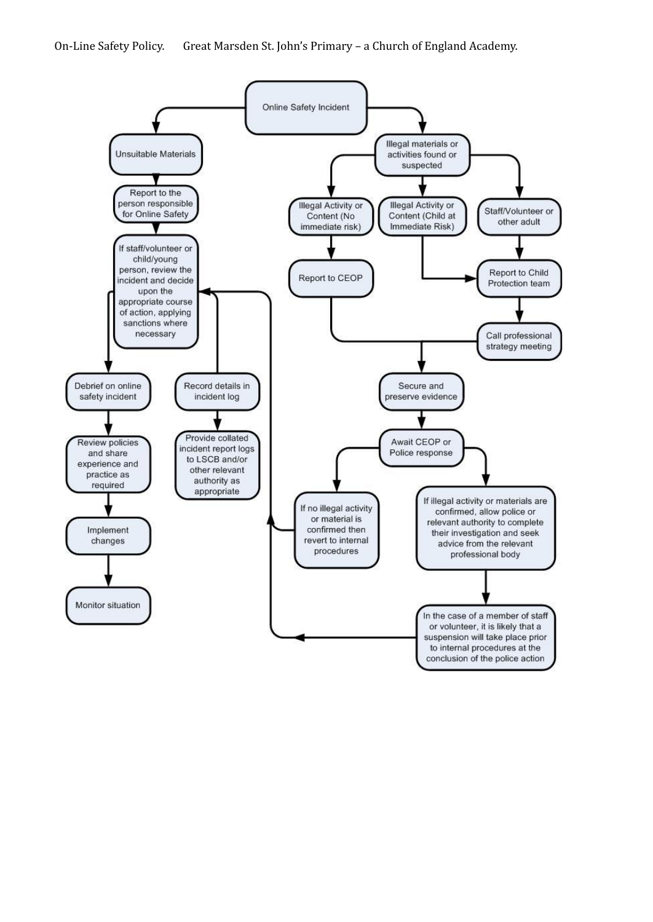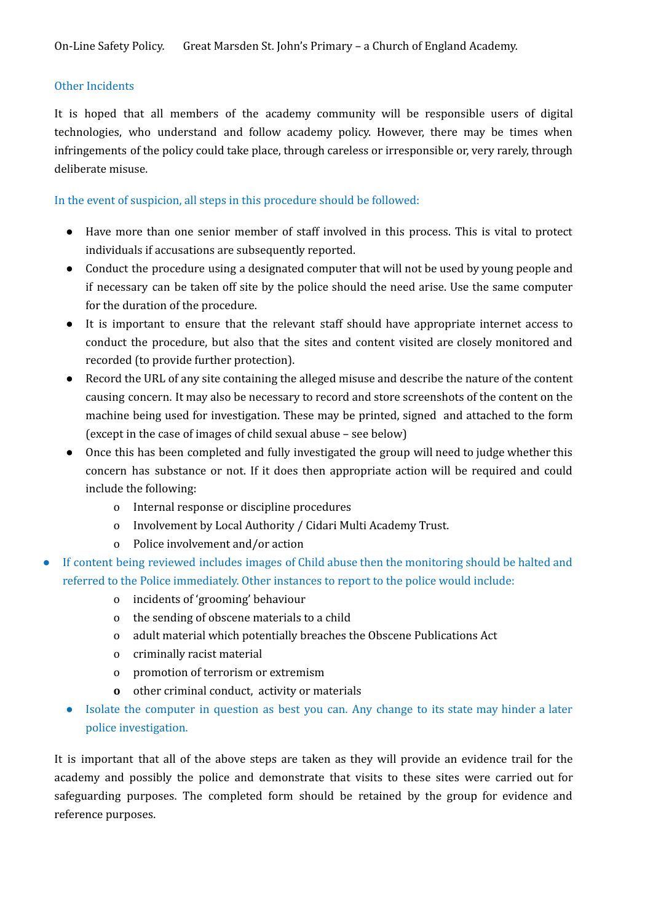#### Other Incidents

It is hoped that all members of the academy community will be responsible users of digital technologies, who understand and follow academy policy. However, there may be times when infringements of the policy could take place, through careless or irresponsible or, very rarely, through deliberate misuse.

#### In the event of suspicion, all steps in this procedure should be followed:

- Have more than one senior member of staff involved in this process. This is vital to protect individuals if accusations are subsequently reported.
- Conduct the procedure using a designated computer that will not be used by young people and if necessary can be taken off site by the police should the need arise. Use the same computer for the duration of the procedure.
- It is important to ensure that the relevant staff should have appropriate internet access to conduct the procedure, but also that the sites and content visited are closely monitored and recorded (to provide further protection).
- Record the URL of any site containing the alleged misuse and describe the nature of the content causing concern. It may also be necessary to record and store screenshots of the content on the machine being used for investigation. These may be printed, signed and attached to the form (except in the case of images of child sexual abuse – see below)
- Once this has been completed and fully investigated the group will need to judge whether this concern has substance or not. If it does then appropriate action will be required and could include the following:
	- o Internal response or discipline procedures
	- o Involvement by Local Authority / Cidari Multi Academy Trust.
	- o Police involvement and/or action
- If content being reviewed includes images of Child abuse then the monitoring should be halted and referred to the Police immediately. Other instances to report to the police would include:
	- o incidents of 'grooming' behaviour
	- o the sending of obscene materials to a child
	- o adult material which potentially breaches the Obscene Publications Act
	- o criminally racist material
	- o promotion of terrorism or extremism
	- **o** other criminal conduct, activity or materials
	- Isolate the computer in question as best you can. Any change to its state may hinder a later police investigation.

It is important that all of the above steps are taken as they will provide an evidence trail for the academy and possibly the police and demonstrate that visits to these sites were carried out for safeguarding purposes. The completed form should be retained by the group for evidence and reference purposes.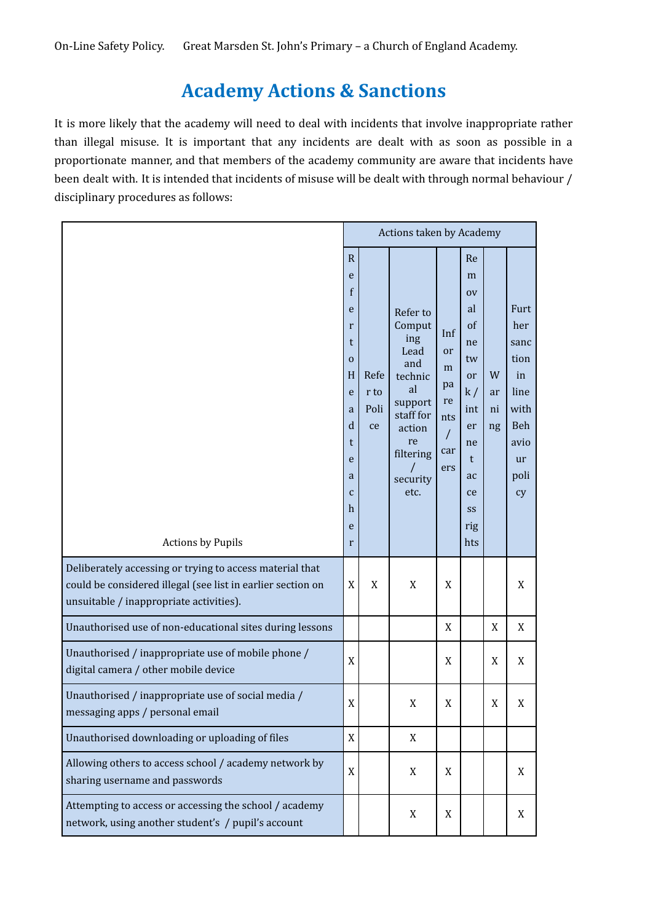### **Academy Actions & Sanctions**

It is more likely that the academy will need to deal with incidents that involve inappropriate rather than illegal misuse. It is important that any incidents are dealt with as soon as possible in a proportionate manner, and that members of the academy community are aware that incidents have been dealt with. It is intended that incidents of misuse will be dealt with through normal behaviour / disciplinary procedures as follows:

|                                                                                                                                                                    | Actions taken by Academy                                                                                         |                            |                                                                                                                                                |                                                      |                                                                                                                  |                     |                                                                                      |
|--------------------------------------------------------------------------------------------------------------------------------------------------------------------|------------------------------------------------------------------------------------------------------------------|----------------------------|------------------------------------------------------------------------------------------------------------------------------------------------|------------------------------------------------------|------------------------------------------------------------------------------------------------------------------|---------------------|--------------------------------------------------------------------------------------|
| <b>Actions by Pupils</b>                                                                                                                                           | $\mathsf{R}$<br>e<br>f<br>e<br>r<br>t<br>0<br>H<br>e<br>a<br>d<br>t<br>e<br>a<br>C<br>$\boldsymbol{h}$<br>e<br>r | Refe<br>r to<br>Poli<br>ce | Refer to<br>Comput<br>ing<br>Lead<br>and<br>technic<br>al<br>support<br>staff for<br>action<br>re<br>filtering<br>$\prime$<br>security<br>etc. | Inf<br>or<br>m<br>pa<br>re<br>nts<br>T<br>car<br>ers | Re<br>m<br><b>OV</b><br>al<br>of<br>ne<br>tw<br>or<br>k/<br>int<br>er<br>ne<br>t<br>ac<br>ce<br>SS<br>rig<br>hts | W<br>ar<br>ni<br>ng | Furt<br>her<br>sanc<br>tion<br>in<br>line<br>with<br>Beh<br>avio<br>ur<br>poli<br>cy |
| Deliberately accessing or trying to access material that<br>could be considered illegal (see list in earlier section on<br>unsuitable / inappropriate activities). | $\mathbf X$                                                                                                      | X                          | X                                                                                                                                              | X                                                    |                                                                                                                  |                     | X                                                                                    |
| Unauthorised use of non-educational sites during lessons                                                                                                           |                                                                                                                  |                            |                                                                                                                                                | X                                                    |                                                                                                                  | X                   | X                                                                                    |
| Unauthorised / inappropriate use of mobile phone /<br>digital camera / other mobile device                                                                         | $\mathbf X$                                                                                                      |                            |                                                                                                                                                | X                                                    |                                                                                                                  | X                   | X                                                                                    |
| Unauthorised / inappropriate use of social media /<br>messaging apps / personal email                                                                              | $\mathbf X$                                                                                                      |                            | X                                                                                                                                              | X                                                    |                                                                                                                  | X                   | X                                                                                    |
| Unauthorised downloading or uploading of files                                                                                                                     | X                                                                                                                |                            | X                                                                                                                                              |                                                      |                                                                                                                  |                     |                                                                                      |
| Allowing others to access school / academy network by<br>sharing username and passwords                                                                            | X                                                                                                                |                            | X                                                                                                                                              | X                                                    |                                                                                                                  |                     | X                                                                                    |
| Attempting to access or accessing the school / academy<br>network, using another student's / pupil's account                                                       |                                                                                                                  |                            | X                                                                                                                                              | X                                                    |                                                                                                                  |                     | X                                                                                    |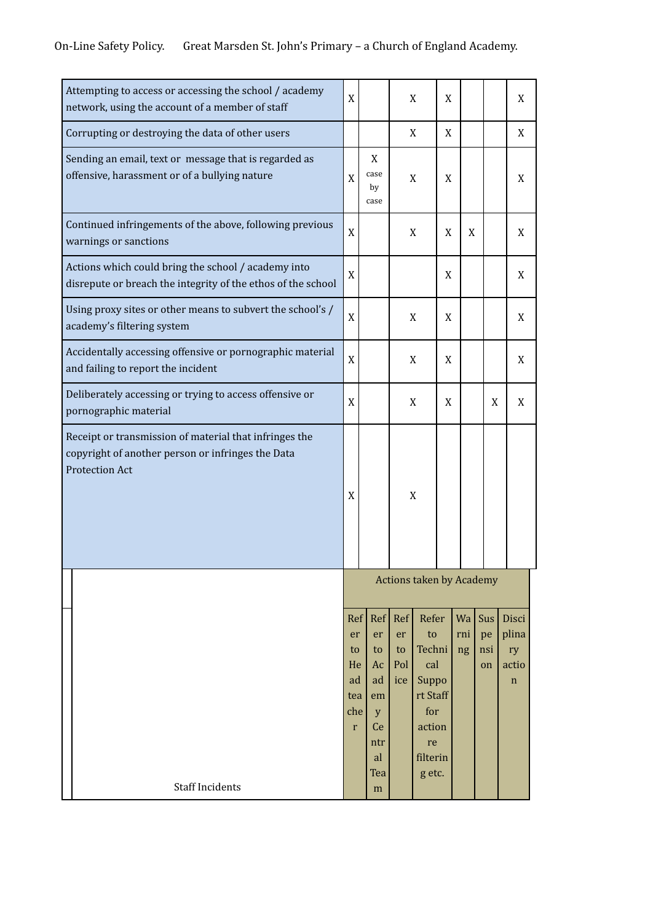### On-Line Safety Policy. Great Marsden St. John's Primary – a Church of England Academy.

| Attempting to access or accessing the school / academy<br>network, using the account of a member of staff                                   | X                                                        |                                                                   |                               | X                                                                                              | X |                 |                        | X                                            |
|---------------------------------------------------------------------------------------------------------------------------------------------|----------------------------------------------------------|-------------------------------------------------------------------|-------------------------------|------------------------------------------------------------------------------------------------|---|-----------------|------------------------|----------------------------------------------|
| Corrupting or destroying the data of other users                                                                                            |                                                          |                                                                   |                               | X                                                                                              | X |                 |                        | X                                            |
| Sending an email, text or message that is regarded as<br>X<br>offensive, harassment or of a bullying nature<br>case<br>X<br>X<br>by<br>case |                                                          | X                                                                 |                               |                                                                                                | X |                 |                        |                                              |
| Continued infringements of the above, following previous<br>warnings or sanctions                                                           | X                                                        |                                                                   |                               | X                                                                                              | X | X               |                        | X                                            |
| Actions which could bring the school / academy into<br>disrepute or breach the integrity of the ethos of the school                         | $\mathbf X$                                              |                                                                   |                               |                                                                                                | X |                 |                        | X                                            |
| Using proxy sites or other means to subvert the school's /<br>academy's filtering system                                                    | X                                                        |                                                                   |                               | X                                                                                              | X |                 |                        | X                                            |
| Accidentally accessing offensive or pornographic material<br>and failing to report the incident                                             | X                                                        |                                                                   | X                             |                                                                                                | X |                 |                        | X                                            |
| Deliberately accessing or trying to access offensive or<br>pornographic material                                                            | X                                                        |                                                                   |                               | X                                                                                              | X |                 | X                      | X                                            |
| Receipt or transmission of material that infringes the<br>copyright of another person or infringes the Data<br><b>Protection Act</b>        | X                                                        |                                                                   |                               | X                                                                                              |   |                 |                        |                                              |
|                                                                                                                                             | <b>Actions taken by Academy</b>                          |                                                                   |                               |                                                                                                |   |                 |                        |                                              |
|                                                                                                                                             | Ref<br>er<br>to<br>He<br>ad<br>tea<br>che<br>$\mathbf r$ | Ref <br>er<br>to<br>Ac<br>ad<br>em<br>y<br>Ce<br>ntr<br>al<br>Tea | Ref<br>er<br>to<br>Pol<br>ice | Refer<br>to<br>Techni<br>cal<br>Suppo<br>rt Staff<br>for<br>action<br>re<br>filterin<br>g etc. |   | Wa<br>rni<br>ng | Sus<br>pe<br>nsi<br>on | Disci<br>plina<br>ry<br>actio<br>$\mathbf n$ |
| <b>Staff Incidents</b>                                                                                                                      |                                                          | m                                                                 |                               |                                                                                                |   |                 |                        |                                              |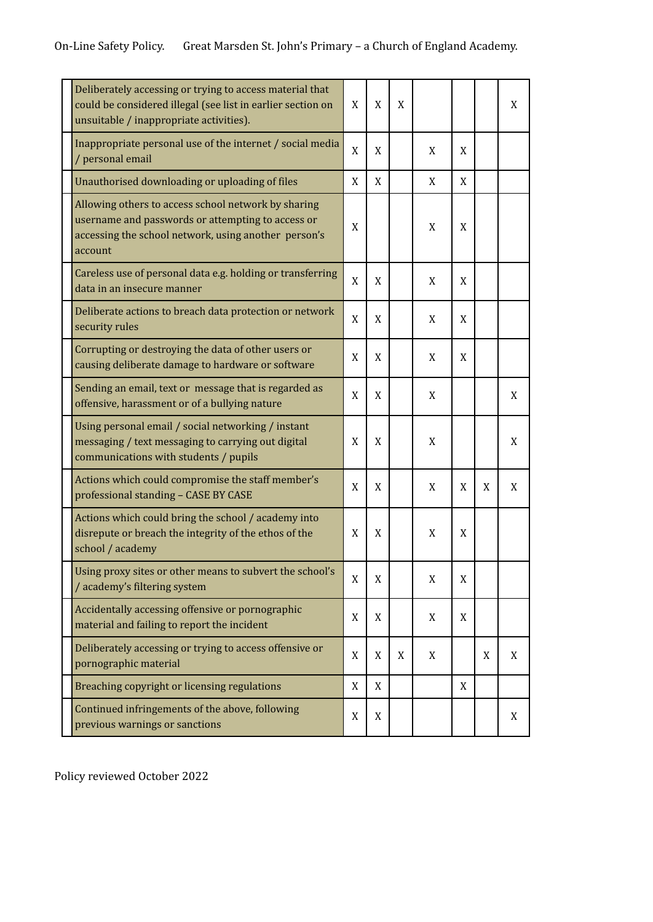### On-Line Safety Policy. Great Marsden St. John's Primary – a Church of England Academy.

| Deliberately accessing or trying to access material that<br>could be considered illegal (see list in earlier section on<br>unsuitable / inappropriate activities).          | X | X | X |   |   |   | X |
|-----------------------------------------------------------------------------------------------------------------------------------------------------------------------------|---|---|---|---|---|---|---|
| Inappropriate personal use of the internet / social media<br>/ personal email                                                                                               | X | X |   | X | X |   |   |
| Unauthorised downloading or uploading of files                                                                                                                              | X | X |   | X | X |   |   |
| Allowing others to access school network by sharing<br>username and passwords or attempting to access or<br>accessing the school network, using another person's<br>account |   |   |   | X | X |   |   |
| Careless use of personal data e.g. holding or transferring<br>data in an insecure manner                                                                                    | X | X |   | X | X |   |   |
| Deliberate actions to breach data protection or network<br>security rules                                                                                                   | X | X |   | X | X |   |   |
| Corrupting or destroying the data of other users or<br>causing deliberate damage to hardware or software                                                                    |   | X |   | X | X |   |   |
| Sending an email, text or message that is regarded as<br>offensive, harassment or of a bullying nature                                                                      |   | X |   | X |   |   | X |
| Using personal email / social networking / instant<br>messaging / text messaging to carrying out digital<br>communications with students / pupils                           | X | X |   | X |   |   | X |
| Actions which could compromise the staff member's<br>professional standing - CASE BY CASE                                                                                   |   | X |   | X | X | X | X |
| Actions which could bring the school / academy into<br>disrepute or breach the integrity of the ethos of the<br>school / academy                                            |   | X |   | X | X |   |   |
| Using proxy sites or other means to subvert the school's<br>/ academy's filtering system                                                                                    |   | X |   | X | X |   |   |
| Accidentally accessing offensive or pornographic<br>material and failing to report the incident                                                                             |   | X |   | X | X |   |   |
| Deliberately accessing or trying to access offensive or<br>pornographic material                                                                                            | X | X | X | X |   | X | X |
| Breaching copyright or licensing regulations                                                                                                                                | X | X |   |   | X |   |   |
| Continued infringements of the above, following<br>previous warnings or sanctions                                                                                           |   | X |   |   |   |   | X |

Policy reviewed October 2022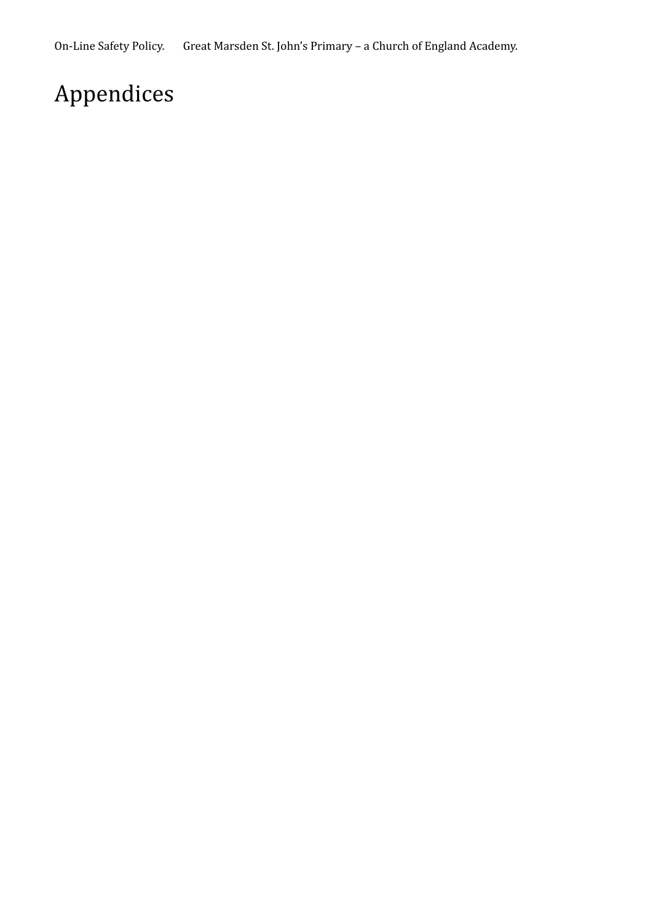# Appendices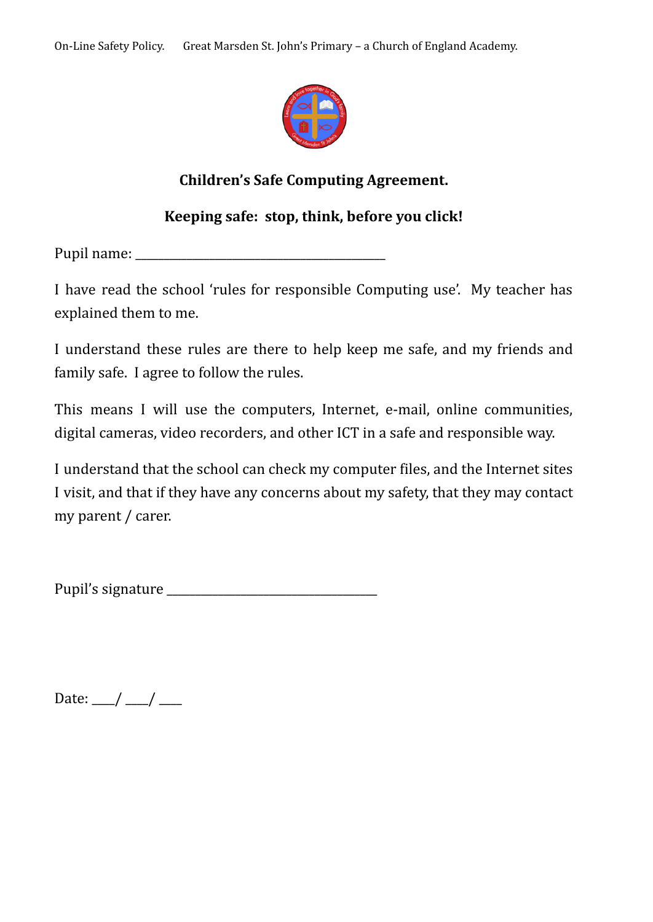

### **Children's Safe Computing Agreement.**

### **Keeping safe: stop, think, before you click!**

Pupil name:

I have read the school 'rules for responsible Computing use'. My teacher has explained them to me.

I understand these rules are there to help keep me safe, and my friends and family safe. I agree to follow the rules.

This means I will use the computers, Internet, e-mail, online communities, digital cameras, video recorders, and other ICT in a safe and responsible way.

I understand that the school can check my computer files, and the Internet sites I visit, and that if they have any concerns about my safety, that they may contact my parent / carer.

Pupil's signature \_\_\_\_\_\_\_\_\_\_\_\_\_\_\_\_\_\_\_\_\_\_\_\_\_\_\_\_\_\_\_\_\_\_\_\_\_

Date:  $\frac{1}{2}$  /  $\frac{1}{2}$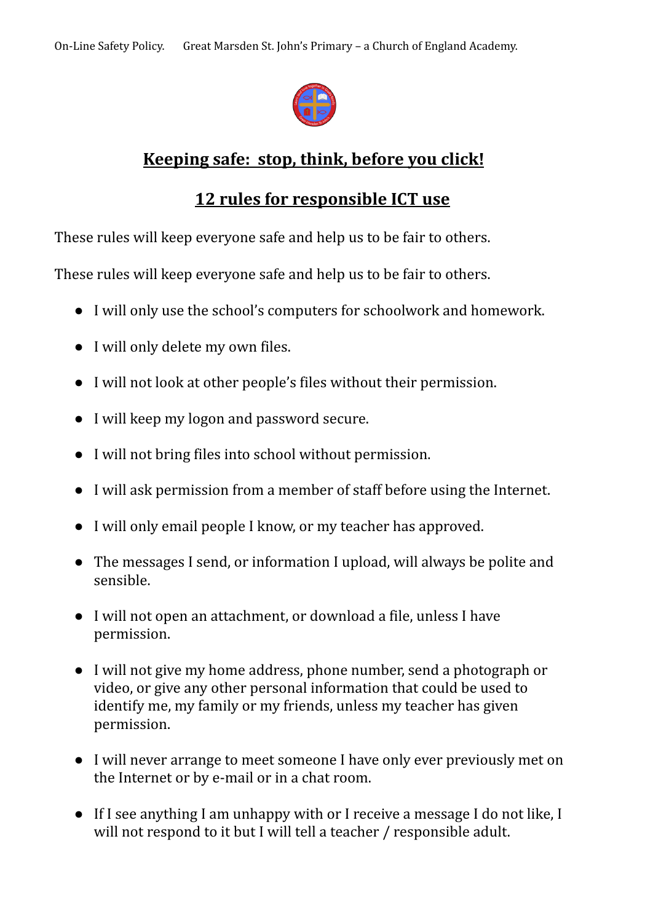

### **Keeping safe: stop, think, before you click!**

### **12 rules for responsible ICT use**

These rules will keep everyone safe and help us to be fair to others.

These rules will keep everyone safe and help us to be fair to others.

- I will only use the school's computers for schoolwork and homework.
- I will only delete my own files.
- I will not look at other people's files without their permission.
- I will keep my logon and password secure.
- I will not bring files into school without permission.
- I will ask permission from a member of staff before using the Internet.
- I will only email people I know, or my teacher has approved.
- The messages I send, or information I upload, will always be polite and sensible.
- I will not open an attachment, or download a file, unless I have permission.
- I will not give my home address, phone number, send a photograph or video, or give any other personal information that could be used to identify me, my family or my friends, unless my teacher has given permission.
- I will never arrange to meet someone I have only ever previously met on the Internet or by e-mail or in a chat room.
- If I see anything I am unhappy with or I receive a message I do not like, I will not respond to it but I will tell a teacher / responsible adult.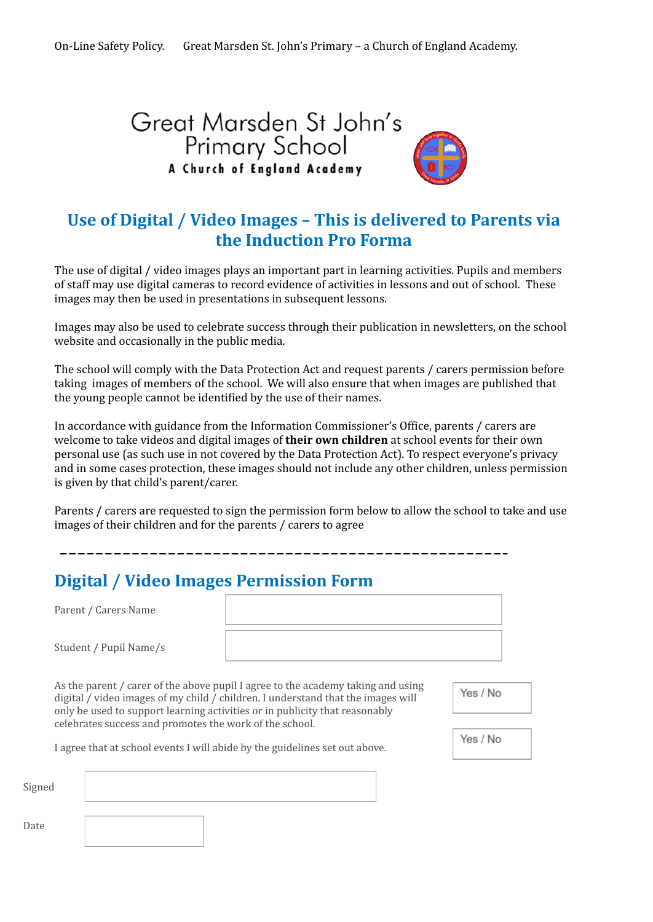# Great Marsden St John's Primary School<br>A Church of England Academy



### **Use of Digital / Video Images – This is delivered to Parents via the Induction Pro Forma**

The use of digital / video images plays an important part in learning activities. Pupils and members of staff may use digital cameras to record evidence of activities in lessons and out of school. These images may then be used in presentations in subsequent lessons.

Images may also be used to celebrate success through their publication in newsletters, on the school website and occasionally in the public media.

The school will comply with the Data Protection Act and request parents / carers permission before taking images of members of the school. We will also ensure that when images are published that the young people cannot be identified by the use of their names.

In accordance with guidance from the Information Commissioner's Office, parents / carers are welcome to take videos and digital images of **their own children** at school events for their own personal use (as such use in not covered by the Data Protection Act). To respect everyone's privacy and in some cases protection, these images should not include any other children, unless permission is given by that child's parent/carer.

Parents / carers are requested to sign the permission form below to allow the school to take and use images of their children and for the parents / carers to agree

### **Digital / Video Images Permission Form**

|        | Parent / Carers Name                                    |                                                                                                                                                                                                                                                     |          |
|--------|---------------------------------------------------------|-----------------------------------------------------------------------------------------------------------------------------------------------------------------------------------------------------------------------------------------------------|----------|
|        | Student / Pupil Name/s                                  |                                                                                                                                                                                                                                                     |          |
|        |                                                         | As the parent / carer of the above pupil I agree to the academy taking and using<br>digital / video images of my child / children. I understand that the images will<br>only be used to support learning activities or in publicity that reasonably | Yes / No |
|        | celebrates success and promotes the work of the school. |                                                                                                                                                                                                                                                     |          |
|        |                                                         | I agree that at school events I will abide by the guidelines set out above.                                                                                                                                                                         | Yes / No |
| Signed |                                                         |                                                                                                                                                                                                                                                     |          |
|        |                                                         |                                                                                                                                                                                                                                                     |          |

Date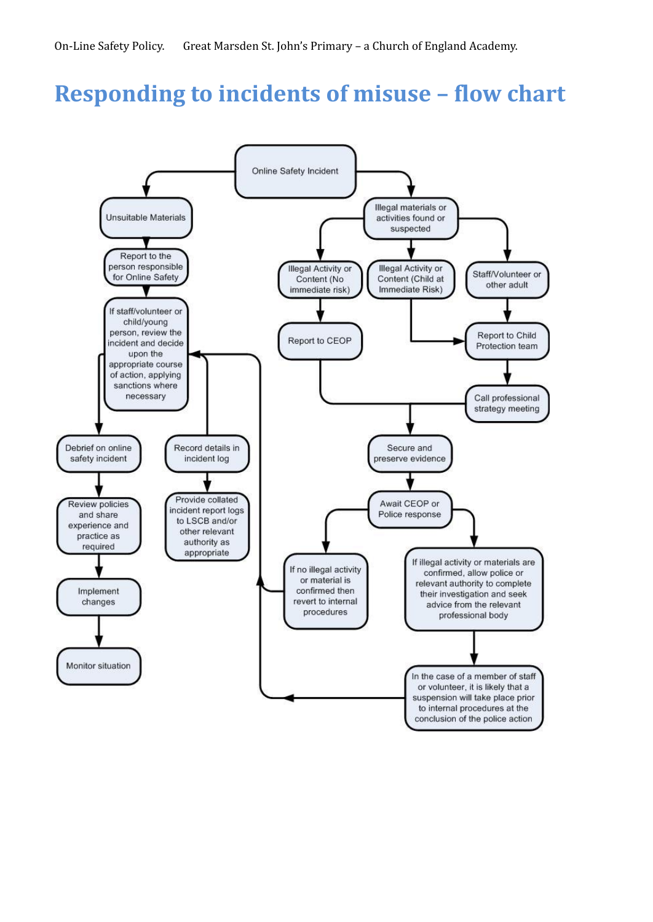# **Responding to incidents of misuse – flow chart**